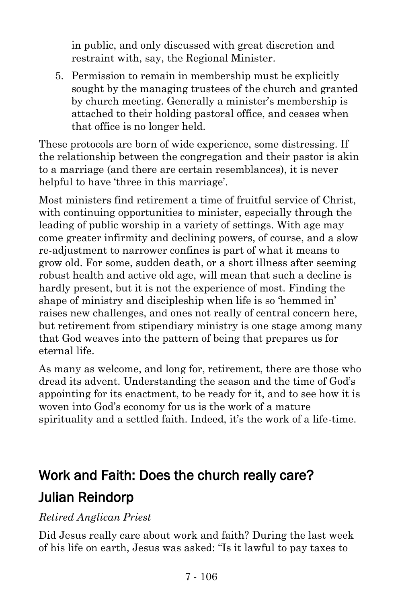in public, and only discussed with great discretion and restraint with, say, the Regional Minister.

5. Permission to remain in membership must be explicitly sought by the managing trustees of the church and granted by church meeting. Generally a minister's membership is attached to their holding pastoral office, and ceases when that office is no longer held.

These protocols are born of wide experience, some distressing. If the relationship between the congregation and their pastor is akin to a marriage (and there are certain resemblances), it is never helpful to have 'three in this marriage'.

Most ministers find retirement a time of fruitful service of Christ, with continuing opportunities to minister, especially through the leading of public worship in a variety of settings. With age may come greater infirmity and declining powers, of course, and a slow re-adjustment to narrower confines is part of what it means to grow old. For some, sudden death, or a short illness after seeming robust health and active old age, will mean that such a decline is hardly present, but it is not the experience of most. Finding the shape of ministry and discipleship when life is so 'hemmed in' raises new challenges, and ones not really of central concern here, but retirement from stipendiary ministry is one stage among many that God weaves into the pattern of being that prepares us for eternal life.

As many as welcome, and long for, retirement, there are those who dread its advent. Understanding the season and the time of God's appointing for its enactment, to be ready for it, and to see how it is woven into God's economy for us is the work of a mature spirituality and a settled faith. Indeed, it's the work of a life-time.

# Work and Faith: Does the church really care? Julian Reindorp

## *Retired Anglican Priest*

Did Jesus really care about work and faith? During the last week of his life on earth, Jesus was asked: "Is it lawful to pay taxes to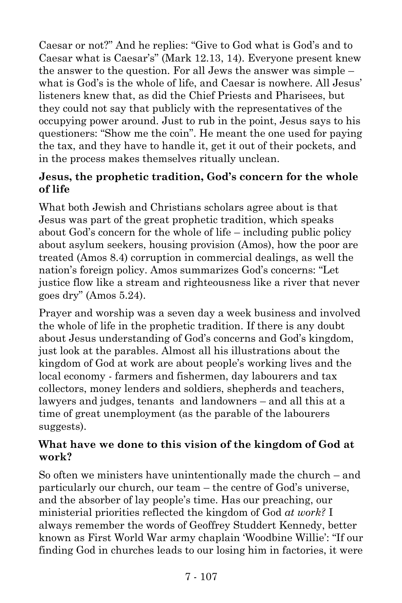Caesar or not?" And he replies: "Give to God what is God's and to Caesar what is Caesar's" (Mark 12.13, 14). Everyone present knew the answer to the question. For all Jews the answer was simple – what is God's is the whole of life, and Caesar is nowhere. All Jesus' listeners knew that, as did the Chief Priests and Pharisees, but they could not say that publicly with the representatives of the occupying power around. Just to rub in the point, Jesus says to his questioners: "Show me the coin". He meant the one used for paying the tax, and they have to handle it, get it out of their pockets, and in the process makes themselves ritually unclean.

## **Jesus, the prophetic tradition, God's concern for the whole of life**

What both Jewish and Christians scholars agree about is that Jesus was part of the great prophetic tradition, which speaks about God's concern for the whole of life – including public policy about asylum seekers, housing provision (Amos), how the poor are treated (Amos 8.4) corruption in commercial dealings, as well the nation's foreign policy. Amos summarizes God's concerns: "Let justice flow like a stream and righteousness like a river that never goes dry" (Amos 5.24).

Prayer and worship was a seven day a week business and involved the whole of life in the prophetic tradition. If there is any doubt about Jesus understanding of God's concerns and God's kingdom, just look at the parables. Almost all his illustrations about the kingdom of God at work are about people's working lives and the local economy - farmers and fishermen, day labourers and tax collectors, money lenders and soldiers, shepherds and teachers, lawyers and judges, tenants and landowners – and all this at a time of great unemployment (as the parable of the labourers suggests).

## **What have we done to this vision of the kingdom of God at work?**

So often we ministers have unintentionally made the church – and particularly our church, our team – the centre of God's universe, and the absorber of lay people's time. Has our preaching, our ministerial priorities reflected the kingdom of God *at work?* I always remember the words of Geoffrey Studdert Kennedy, better known as First World War army chaplain 'Woodbine Willie': "If our finding God in churches leads to our losing him in factories, it were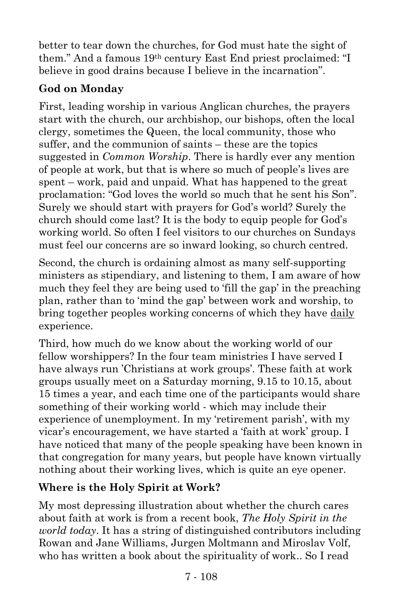better to tear down the churches, for God must hate the sight of them." And a famous 19th century East End priest proclaimed: "I believe in good drains because I believe in the incarnation".

# **God on Monday**

First, leading worship in various Anglican churches, the prayers start with the church, our archbishop, our bishops, often the local clergy, sometimes the Queen, the local community, those who suffer, and the communion of saints – these are the topics suggested in *Common Worship*. There is hardly ever any mention of people at work, but that is where so much of people's lives are spent – work, paid and unpaid. What has happened to the great proclamation: "God loves the world so much that he sent his Son". Surely we should start with prayers for God's world? Surely the church should come last? It is the body to equip people for God's working world. So often I feel visitors to our churches on Sundays must feel our concerns are so inward looking, so church centred.

Second, the church is ordaining almost as many self-supporting ministers as stipendiary, and listening to them, I am aware of how much they feel they are being used to 'fill the gap' in the preaching plan, rather than to 'mind the gap' between work and worship, to bring together peoples working concerns of which they have daily experience.

Third, how much do we know about the working world of our fellow worshippers? In the four team ministries I have served I have always run 'Christians at work groups'. These faith at work groups usually meet on a Saturday morning, 9.15 to 10.15, about 15 times a year, and each time one of the participants would share something of their working world - which may include their experience of unemployment. In my 'retirement parish', with my vicar's encouragement, we have started a 'faith at work' group. I have noticed that many of the people speaking have been known in that congregation for many years, but people have known virtually nothing about their working lives, which is quite an eye opener.

# **Where is the Holy Spirit at Work?**

My most depressing illustration about whether the church cares about faith at work is from a recent book, *The Holy Spirit in the world today*. It has a string of distinguished contributors including Rowan and Jane Williams, Jurgen Moltmann and Miroslav Volf, who has written a book about the spirituality of work.. So I read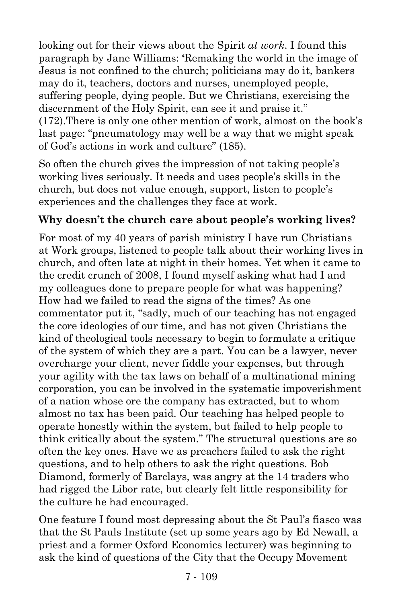looking out for their views about the Spirit *at work*. I found this paragraph by Jane Williams: **'**Remaking the world in the image of Jesus is not confined to the church; politicians may do it, bankers may do it, teachers, doctors and nurses, unemployed people, suffering people, dying people. But we Christians, exercising the discernment of the Holy Spirit, can see it and praise it." (172).There is only one other mention of work, almost on the book's last page: "pneumatology may well be a way that we might speak of God's actions in work and culture" (185).

So often the church gives the impression of not taking people's working lives seriously. It needs and uses people's skills in the church, but does not value enough, support, listen to people's experiences and the challenges they face at work.

# **Why doesn't the church care about people's working lives?**

For most of my 40 years of parish ministry I have run Christians at Work groups, listened to people talk about their working lives in church, and often late at night in their homes. Yet when it came to the credit crunch of 2008, I found myself asking what had I and my colleagues done to prepare people for what was happening? How had we failed to read the signs of the times? As one commentator put it, "sadly, much of our teaching has not engaged the core ideologies of our time, and has not given Christians the kind of theological tools necessary to begin to formulate a critique of the system of which they are a part. You can be a lawyer, never overcharge your client, never fiddle your expenses, but through your agility with the tax laws on behalf of a multinational mining corporation, you can be involved in the systematic impoverishment of a nation whose ore the company has extracted, but to whom almost no tax has been paid. Our teaching has helped people to operate honestly within the system, but failed to help people to think critically about the system." The structural questions are so often the key ones. Have we as preachers failed to ask the right questions, and to help others to ask the right questions. Bob Diamond, formerly of Barclays, was angry at the 14 traders who had rigged the Libor rate, but clearly felt little responsibility for the culture he had encouraged.

One feature I found most depressing about the St Paul's fiasco was that the St Pauls Institute (set up some years ago by Ed Newall, a priest and a former Oxford Economics lecturer) was beginning to ask the kind of questions of the City that the Occupy Movement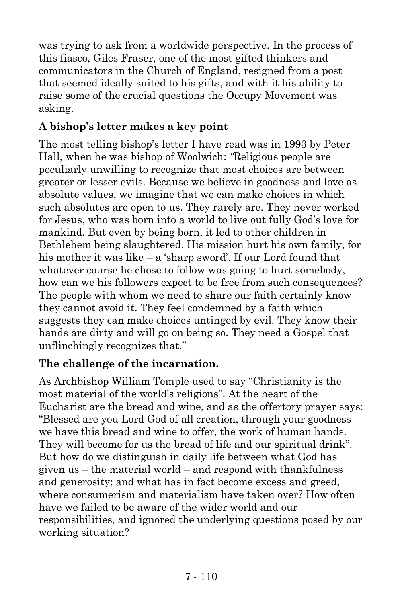was trying to ask from a worldwide perspective. In the process of this fiasco, Giles Fraser, one of the most gifted thinkers and communicators in the Church of England, resigned from a post that seemed ideally suited to his gifts, and with it his ability to raise some of the crucial questions the Occupy Movement was asking.

## **A bishop's letter makes a key point**

The most telling bishop's letter I have read was in 1993 by Peter Hall, when he was bishop of Woolwich: *"*Religious people are peculiarly unwilling to recognize that most choices are between greater or lesser evils. Because we believe in goodness and love as absolute values, we imagine that we can make choices in which such absolutes are open to us. They rarely are. They never worked for Jesus, who was born into a world to live out fully God's love for mankind. But even by being born, it led to other children in Bethlehem being slaughtered. His mission hurt his own family, for his mother it was like – a 'sharp sword'. If our Lord found that whatever course he chose to follow was going to hurt somebody, how can we his followers expect to be free from such consequences? The people with whom we need to share our faith certainly know they cannot avoid it. They feel condemned by a faith which suggests they can make choices untinged by evil. They know their hands are dirty and will go on being so. They need a Gospel that unflinchingly recognizes that."

## **The challenge of the incarnation.**

As Archbishop William Temple used to say "Christianity is the most material of the world's religions". At the heart of the Eucharist are the bread and wine, and as the offertory prayer says: "Blessed are you Lord God of all creation, through your goodness we have this bread and wine to offer, the work of human hands. They will become for us the bread of life and our spiritual drink". But how do we distinguish in daily life between what God has given us – the material world – and respond with thankfulness and generosity; and what has in fact become excess and greed, where consumerism and materialism have taken over? How often have we failed to be aware of the wider world and our responsibilities, and ignored the underlying questions posed by our working situation?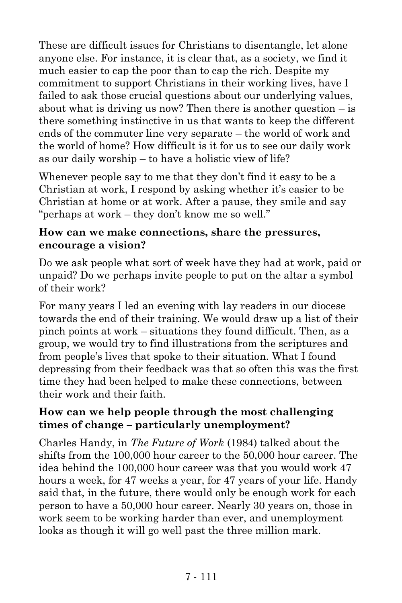These are difficult issues for Christians to disentangle, let alone anyone else. For instance, it is clear that, as a society, we find it much easier to cap the poor than to cap the rich. Despite my commitment to support Christians in their working lives, have I failed to ask those crucial questions about our underlying values, about what is driving us now? Then there is another question  $-\text{is}$ there something instinctive in us that wants to keep the different ends of the commuter line very separate – the world of work and the world of home? How difficult is it for us to see our daily work as our daily worship – to have a holistic view of life?

Whenever people say to me that they don't find it easy to be a Christian at work, I respond by asking whether it's easier to be Christian at home or at work. After a pause, they smile and say "perhaps at work – they don't know me so well."

#### **How can we make connections, share the pressures, encourage a vision?**

Do we ask people what sort of week have they had at work, paid or unpaid? Do we perhaps invite people to put on the altar a symbol of their work?

For many years I led an evening with lay readers in our diocese towards the end of their training. We would draw up a list of their pinch points at work – situations they found difficult. Then, as a group, we would try to find illustrations from the scriptures and from people's lives that spoke to their situation. What I found depressing from their feedback was that so often this was the first time they had been helped to make these connections, between their work and their faith.

## **How can we help people through the most challenging times of change – particularly unemployment?**

Charles Handy, in *The Future of Work* (1984) talked about the shifts from the 100,000 hour career to the 50,000 hour career. The idea behind the 100,000 hour career was that you would work 47 hours a week, for 47 weeks a year, for 47 years of your life. Handy said that, in the future, there would only be enough work for each person to have a 50,000 hour career. Nearly 30 years on, those in work seem to be working harder than ever, and unemployment looks as though it will go well past the three million mark.